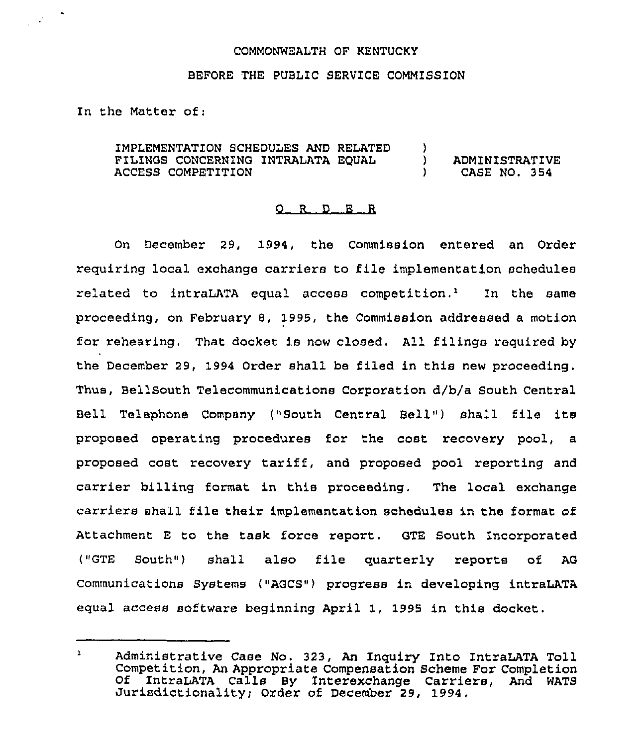## COMMONWEALTH OP KENTUCKY

## BEFORE THE PUBLIC SERVICE COMMISSION

In the Matter of:

 $\mathcal{L}^{\mathcal{L}}$ 

IMPLEMENTATION SCHEDULES AND RELATED FILINGS CONCERNING INTRALATA EQUAL ACCESS COMPETITION )<br>) ) ADMINISTRATIVE ) CASE NO. 354

## 0 <sup>R</sup> <sup>D</sup> E <sup>R</sup>

On December 29, 1994, the Commission entered an Order requiring local exchange carriers to file implementation schedules related to intraLATA equal access competition.<sup>1</sup> In the same proceeding, on February 8, 1995, the Commission addressed a motion ior rehearing. That docket is now closed. All filings required by the December 29, 1994 Order shall be filed in this new proceeding. Thus, Bellsouth Telecommunications Corporation d/b/a South Central Bell Telephone Company ("South Central Bell") shall file its proposed operating procedures for the cost recovery pool, a proposed cost recovery tariff, and proposed pool reporting and carrier billing format in this proceeding, The local exchange carriers shall file their implementation schedules in the format of Attachment <sup>E</sup> to the task force report. GTE South Incorporated ("GTE South") shall also file quarterly reports of AG Communications Systems ("AGCS") progress in developing intraLATA equal access software beginning April 1, 1995 in this docket,

 $\mathbf{1}$ Administrative Case No. 323, An Inquiry Into IntraLATA Toll Competition, An Appropriate Compensation Scheme For Completion Of IntraLATA Calls By Interexchange Carriers, And WATS Jurisdictionality) Order of December 29, 1994,